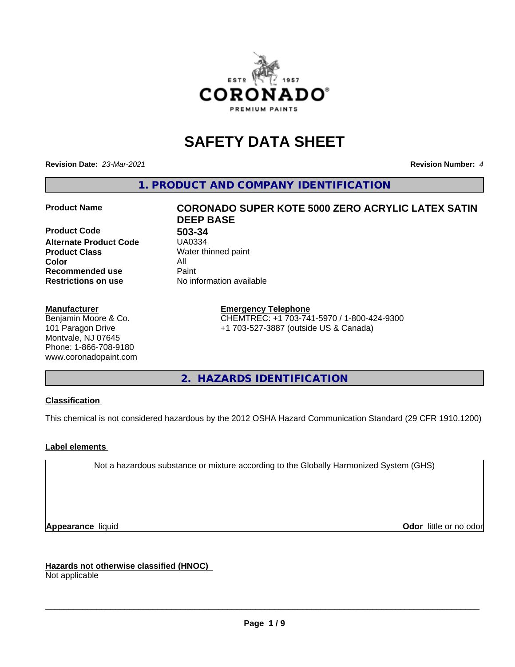

# **SAFETY DATA SHEET**

**Revision Date:** *23-Mar-2021* **Revision Number:** *4*

**1. PRODUCT AND COMPANY IDENTIFICATION**

**Product Code 613-34**<br>**Alternate Product Code** 6140334 **Alternate Product Code Product Class** Water thinned paint<br> **Color** All **Color** All **Recommended use Caint Restrictions on use** No information available

#### **Manufacturer**

Benjamin Moore & Co. 101 Paragon Drive Montvale, NJ 07645 Phone: 1-866-708-9180 www.coronadopaint.com

# **Product Name CORONADO SUPER KOTE 5000 ZERO ACRYLIC LATEX SATIN DEEP BASE**

**Emergency Telephone** CHEMTREC: +1 703-741-5970 / 1-800-424-9300 +1 703-527-3887 (outside US & Canada)

**2. HAZARDS IDENTIFICATION**

### **Classification**

This chemical is not considered hazardous by the 2012 OSHA Hazard Communication Standard (29 CFR 1910.1200)

### **Label elements**

Not a hazardous substance or mixture according to the Globally Harmonized System (GHS)

**Appearance** liquid **Contract Contract Contract Contract Contract Contract Contract Contract Contract Contract Contract Contract Contract Contract Contract Contract Contract Contract Contract Contract Contract Contract Con** 

**Hazards not otherwise classified (HNOC)**

Not applicable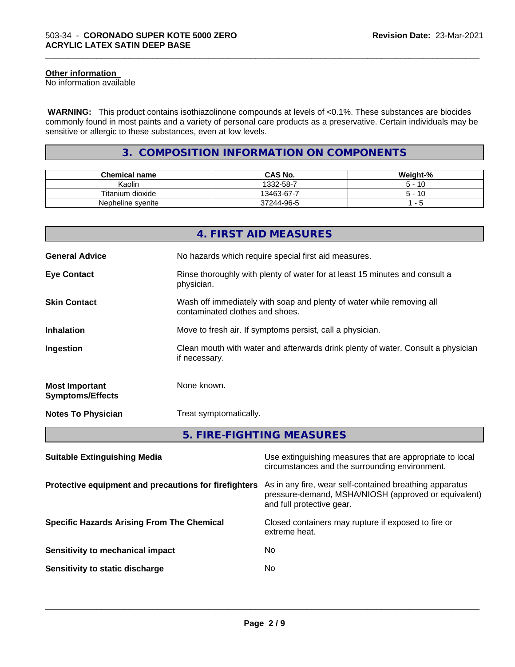#### **Other information**

No information available

 **WARNING:** This product contains isothiazolinone compounds at levels of <0.1%. These substances are biocides commonly found in most paints and a variety of personal care products as a preservative. Certain individuals may be sensitive or allergic to these substances, even at low levels.

\_\_\_\_\_\_\_\_\_\_\_\_\_\_\_\_\_\_\_\_\_\_\_\_\_\_\_\_\_\_\_\_\_\_\_\_\_\_\_\_\_\_\_\_\_\_\_\_\_\_\_\_\_\_\_\_\_\_\_\_\_\_\_\_\_\_\_\_\_\_\_\_\_\_\_\_\_\_\_\_\_\_\_\_\_\_\_\_\_\_\_\_\_

# **3. COMPOSITION INFORMATION ON COMPONENTS**

| <b>Chemical name</b> | <b>CAS No.</b> | Weight-% |
|----------------------|----------------|----------|
| Kaolin               | 1332-58-7      | -10      |
| Titanium dioxide     | 13463-67-7     | $-10$    |
| Nepheline syenite    | 37244-96-5     | $\sim$   |

|                                                  | <b>4. FIRST AID MEASURES</b>                                                                               |  |  |
|--------------------------------------------------|------------------------------------------------------------------------------------------------------------|--|--|
| <b>General Advice</b>                            | No hazards which require special first aid measures.                                                       |  |  |
| <b>Eye Contact</b>                               | Rinse thoroughly with plenty of water for at least 15 minutes and consult a<br>physician.                  |  |  |
| <b>Skin Contact</b>                              | Wash off immediately with soap and plenty of water while removing all<br>contaminated clothes and shoes.   |  |  |
| <b>Inhalation</b>                                | Move to fresh air. If symptoms persist, call a physician.                                                  |  |  |
| Ingestion                                        | Clean mouth with water and afterwards drink plenty of water. Consult a physician<br>if necessary.          |  |  |
| <b>Most Important</b><br><b>Symptoms/Effects</b> | None known.                                                                                                |  |  |
| <b>Notes To Physician</b>                        | Treat symptomatically.                                                                                     |  |  |
|                                                  | 5. FIRE-FIGHTING MEASURES                                                                                  |  |  |
| <b>Suitable Extinguishing Media</b>              | Use extinguishing measures that are appropriate to local<br>circumstances and the surrounding environment. |  |  |

| <b>Protective equipment and precautions for firefighters</b> As in any fire, wear self-contained breathing apparatus |                                                      |
|----------------------------------------------------------------------------------------------------------------------|------------------------------------------------------|
|                                                                                                                      | pressure-demand, MSHA/NIOSH (approved or equivalent) |
|                                                                                                                      | and full protective gear.                            |
|                                                                                                                      |                                                      |

extreme heat.

 $\overline{\phantom{a}}$  ,  $\overline{\phantom{a}}$  ,  $\overline{\phantom{a}}$  ,  $\overline{\phantom{a}}$  ,  $\overline{\phantom{a}}$  ,  $\overline{\phantom{a}}$  ,  $\overline{\phantom{a}}$  ,  $\overline{\phantom{a}}$  ,  $\overline{\phantom{a}}$  ,  $\overline{\phantom{a}}$  ,  $\overline{\phantom{a}}$  ,  $\overline{\phantom{a}}$  ,  $\overline{\phantom{a}}$  ,  $\overline{\phantom{a}}$  ,  $\overline{\phantom{a}}$  ,  $\overline{\phantom{a}}$ 

**Specific Hazards Arising From The Chemical Closed containers may rupture if exposed to fire or** 

| Sensitivity to mechanical impact | No |
|----------------------------------|----|
|                                  |    |

**Sensitivity to static discharge** No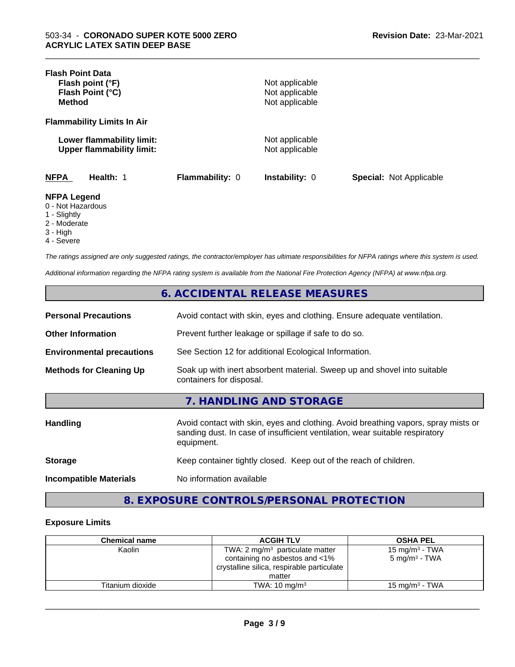| <b>Flash Point Data</b>                                       |                 |                                  |                                |
|---------------------------------------------------------------|-----------------|----------------------------------|--------------------------------|
| Flash point (°F)                                              |                 | Not applicable                   |                                |
| Flash Point (°C)                                              |                 | Not applicable                   |                                |
| <b>Method</b>                                                 |                 | Not applicable                   |                                |
| <b>Flammability Limits In Air</b>                             |                 |                                  |                                |
| Lower flammability limit:<br><b>Upper flammability limit:</b> |                 | Not applicable<br>Not applicable |                                |
| <b>NFPA</b><br>Health: 1                                      | Flammability: 0 | Instability: 0                   | <b>Special: Not Applicable</b> |
| <b>NFPA Legend</b><br>0 - Not Hazardous<br>1 - Slightly       |                 |                                  |                                |
| 2 - Moderate                                                  |                 |                                  |                                |

\_\_\_\_\_\_\_\_\_\_\_\_\_\_\_\_\_\_\_\_\_\_\_\_\_\_\_\_\_\_\_\_\_\_\_\_\_\_\_\_\_\_\_\_\_\_\_\_\_\_\_\_\_\_\_\_\_\_\_\_\_\_\_\_\_\_\_\_\_\_\_\_\_\_\_\_\_\_\_\_\_\_\_\_\_\_\_\_\_\_\_\_\_

- 
- 3 High
- 4 Severe

*The ratings assigned are only suggested ratings, the contractor/employer has ultimate responsibilities for NFPA ratings where this system is used.*

*Additional information regarding the NFPA rating system is available from the National Fire Protection Agency (NFPA) at www.nfpa.org.*

# **6. ACCIDENTAL RELEASE MEASURES**

| <b>Personal Precautions</b>      | Avoid contact with skin, eyes and clothing. Ensure adequate ventilation.                             |
|----------------------------------|------------------------------------------------------------------------------------------------------|
| <b>Other Information</b>         | Prevent further leakage or spillage if safe to do so.                                                |
| <b>Environmental precautions</b> | See Section 12 for additional Ecological Information.                                                |
| <b>Methods for Cleaning Up</b>   | Soak up with inert absorbent material. Sweep up and shovel into suitable<br>containers for disposal. |
|                                  | 7 HANDI ING AND STORAGE                                                                              |

| Avoid contact with skin, eyes and clothing. Avoid breathing vapors, spray mists or<br>sanding dust. In case of insufficient ventilation, wear suitable respiratory<br>equipment. |
|----------------------------------------------------------------------------------------------------------------------------------------------------------------------------------|
| Keep container tightly closed. Keep out of the reach of children.                                                                                                                |
| No information available                                                                                                                                                         |
|                                                                                                                                                                                  |

# **8. EXPOSURE CONTROLS/PERSONAL PROTECTION**

#### **Exposure Limits**

| <b>Chemical name</b> | <b>ACGIH TLV</b>                           | <b>OSHA PEL</b>           |
|----------------------|--------------------------------------------|---------------------------|
| Kaolin               | TWA: 2 $mg/m3$ particulate matter          | 15 mg/m $3$ - TWA         |
|                      | containing no asbestos and <1%             | $5 \text{ mg/m}^3$ - TWA  |
|                      | crystalline silica, respirable particulate |                           |
|                      | matter                                     |                           |
| Titanium dioxide     | TWA: $10 \text{ ma/m}^3$                   | $15 \text{ mg/m}^3$ - TWA |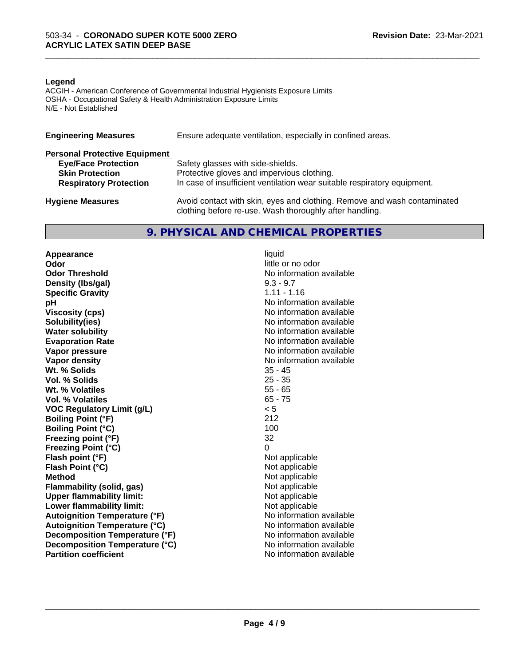#### **Legend**

ACGIH - American Conference of Governmental Industrial Hygienists Exposure Limits OSHA - Occupational Safety & Health Administration Exposure Limits N/E - Not Established

| <b>Engineering Measures</b>          | Ensure adequate ventilation, especially in confined areas.                                                                          |
|--------------------------------------|-------------------------------------------------------------------------------------------------------------------------------------|
| <b>Personal Protective Equipment</b> |                                                                                                                                     |
| <b>Eye/Face Protection</b>           | Safety glasses with side-shields.                                                                                                   |
| <b>Skin Protection</b>               | Protective gloves and impervious clothing.                                                                                          |
| <b>Respiratory Protection</b>        | In case of insufficient ventilation wear suitable respiratory equipment.                                                            |
| <b>Hygiene Measures</b>              | Avoid contact with skin, eyes and clothing. Remove and wash contaminated<br>clothing before re-use. Wash thoroughly after handling. |

# **9. PHYSICAL AND CHEMICAL PROPERTIES**

**Appearance** liquid<br> **Appearance** liquid<br> **Odor Odor Threshold** No information available **Density (Ibs/gal)** 9.3 - 9.7<br> **Specific Gravity** 6.11 - 1.16 **Specific Gravity pH pH**  $\blacksquare$ **Viscosity (cps)** No information available **Solubility(ies)** No information available **Water solubility** No information available **Evaporation Rate No information available No information available Vapor pressure** No information available **No information** available **Vapor density**<br> **We Solids**<br>
We Solid Wi, % Solids
25 - 45 **Wt. % Solids** 35 - 45<br> **Vol. % Solids** 25 - 35 **Vol. % Solids Wt. % Volatiles** 55 - 65<br> **Vol. % Volatiles** 65 - 75 **Vol. % Volatiles VOC Regulatory Limit (g/L)** < 5 **Boiling Point (°F)** 212 **Boiling Point (°C)** 100 **Freezing point (°F)** 32 **Freezing Point (°C)** 0 **Flash point (°F)** Not applicable **Flash Point (°C)** Not applicable **Method**<br> **Flammability (solid, gas)**<br> **Commability (solid, gas)**<br>
Mot applicable **Flammability** (solid, gas) **Upper flammability limit:**<br> **Lower flammability limit:** Not applicable Not applicable **Lower flammability limit:**<br> **Autoignition Temperature (°F)** Not applicable available and the Mustafable and Mustafable and Mustafable and Mu **Autoignition Temperature (°F) Autoignition Temperature (°C)** No information available **Decomposition Temperature (°F)** No information available **Decomposition Temperature (°C)** No information available **Partition coefficient** and the settlement of the settlement of the No information available

little or no odor

 $\overline{\phantom{a}}$  ,  $\overline{\phantom{a}}$  ,  $\overline{\phantom{a}}$  ,  $\overline{\phantom{a}}$  ,  $\overline{\phantom{a}}$  ,  $\overline{\phantom{a}}$  ,  $\overline{\phantom{a}}$  ,  $\overline{\phantom{a}}$  ,  $\overline{\phantom{a}}$  ,  $\overline{\phantom{a}}$  ,  $\overline{\phantom{a}}$  ,  $\overline{\phantom{a}}$  ,  $\overline{\phantom{a}}$  ,  $\overline{\phantom{a}}$  ,  $\overline{\phantom{a}}$  ,  $\overline{\phantom{a}}$ 

\_\_\_\_\_\_\_\_\_\_\_\_\_\_\_\_\_\_\_\_\_\_\_\_\_\_\_\_\_\_\_\_\_\_\_\_\_\_\_\_\_\_\_\_\_\_\_\_\_\_\_\_\_\_\_\_\_\_\_\_\_\_\_\_\_\_\_\_\_\_\_\_\_\_\_\_\_\_\_\_\_\_\_\_\_\_\_\_\_\_\_\_\_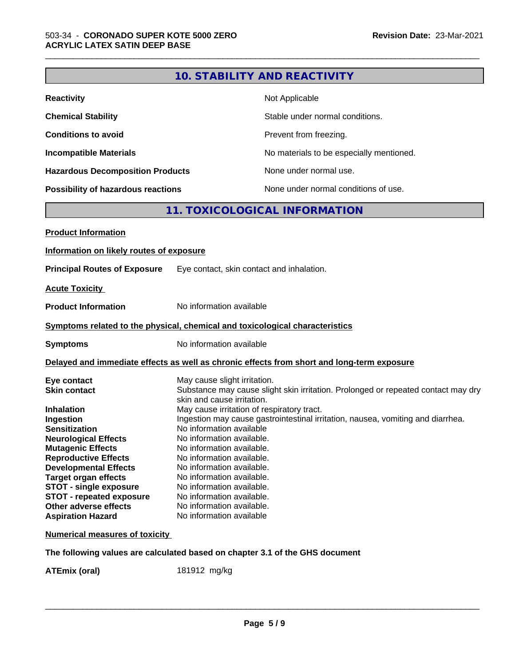|                                                                              |                                            | 10. STABILITY AND REACTIVITY                                                               |  |  |
|------------------------------------------------------------------------------|--------------------------------------------|--------------------------------------------------------------------------------------------|--|--|
| <b>Reactivity</b>                                                            | Not Applicable                             |                                                                                            |  |  |
| <b>Chemical Stability</b>                                                    | Stable under normal conditions.            |                                                                                            |  |  |
| <b>Conditions to avoid</b>                                                   |                                            | Prevent from freezing.                                                                     |  |  |
| <b>Incompatible Materials</b>                                                |                                            | No materials to be especially mentioned.                                                   |  |  |
| <b>Hazardous Decomposition Products</b>                                      |                                            | None under normal use.                                                                     |  |  |
| Possibility of hazardous reactions                                           |                                            | None under normal conditions of use.                                                       |  |  |
|                                                                              |                                            | 11. TOXICOLOGICAL INFORMATION                                                              |  |  |
| <b>Product Information</b>                                                   |                                            |                                                                                            |  |  |
| Information on likely routes of exposure                                     |                                            |                                                                                            |  |  |
| <b>Principal Routes of Exposure</b>                                          | Eye contact, skin contact and inhalation.  |                                                                                            |  |  |
|                                                                              |                                            |                                                                                            |  |  |
| <b>Acute Toxicity</b>                                                        |                                            |                                                                                            |  |  |
| <b>Product Information</b>                                                   | No information available                   |                                                                                            |  |  |
| Symptoms related to the physical, chemical and toxicological characteristics |                                            |                                                                                            |  |  |
| <b>Symptoms</b>                                                              | No information available                   |                                                                                            |  |  |
|                                                                              |                                            | Delayed and immediate effects as well as chronic effects from short and long-term exposure |  |  |
| Eye contact                                                                  | May cause slight irritation.               |                                                                                            |  |  |
| <b>Skin contact</b>                                                          |                                            | Substance may cause slight skin irritation. Prolonged or repeated contact may dry          |  |  |
|                                                                              | skin and cause irritation.                 |                                                                                            |  |  |
| <b>Inhalation</b>                                                            | May cause irritation of respiratory tract. |                                                                                            |  |  |
| Ingestion                                                                    |                                            | Ingestion may cause gastrointestinal irritation, nausea, vomiting and diarrhea.            |  |  |
| <b>Sensitization</b>                                                         | No information available                   |                                                                                            |  |  |
| <b>Neurological Effects</b>                                                  | No information available.                  |                                                                                            |  |  |
| <b>Mutagenic Effects</b>                                                     | No information available.                  |                                                                                            |  |  |
| <b>Reproductive Effects</b>                                                  | No information available.                  |                                                                                            |  |  |
| <b>Developmental Effects</b>                                                 | No information available.                  |                                                                                            |  |  |
| <b>Target organ effects</b>                                                  | No information available.                  |                                                                                            |  |  |
| <b>STOT - single exposure</b>                                                | No information available.                  |                                                                                            |  |  |
| <b>STOT - repeated exposure</b>                                              | No information available.                  |                                                                                            |  |  |
| Other adverse effects                                                        | No information available.                  |                                                                                            |  |  |
| <b>Aspiration Hazard</b>                                                     | No information available                   |                                                                                            |  |  |
| <b>Numerical measures of toxicity</b>                                        |                                            |                                                                                            |  |  |
| The following values are calculated based on chapter 3.1 of the GHS document |                                            |                                                                                            |  |  |

**ATEmix (oral)** 181912 mg/kg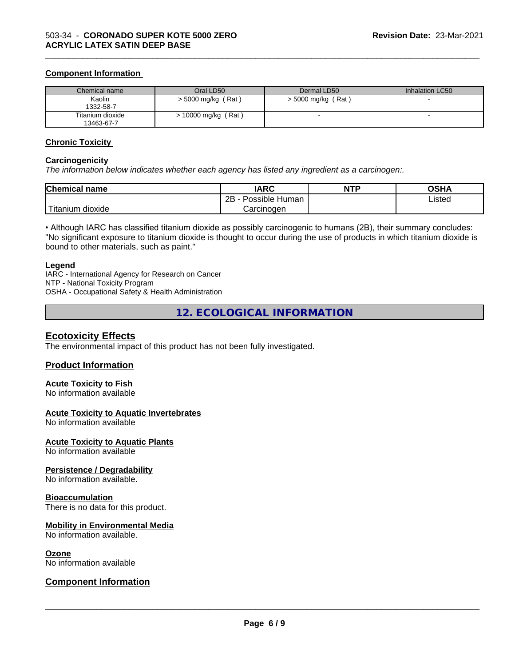#### **Component Information**

| Chemical name                  | Oral LD50            | Dermal LD50          | Inhalation LC50 |
|--------------------------------|----------------------|----------------------|-----------------|
| Kaolin<br>1332-58-7            | $>$ 5000 mg/kg (Rat) | $>$ 5000 mg/kg (Rat) |                 |
| Titanium dioxide<br>13463-67-7 | > 10000 mg/kg (Rat)  |                      |                 |

\_\_\_\_\_\_\_\_\_\_\_\_\_\_\_\_\_\_\_\_\_\_\_\_\_\_\_\_\_\_\_\_\_\_\_\_\_\_\_\_\_\_\_\_\_\_\_\_\_\_\_\_\_\_\_\_\_\_\_\_\_\_\_\_\_\_\_\_\_\_\_\_\_\_\_\_\_\_\_\_\_\_\_\_\_\_\_\_\_\_\_\_\_

#### **Chronic Toxicity**

#### **Carcinogenicity**

*The information below indicateswhether each agency has listed any ingredient as a carcinogen:.*

| <b>Chemical name</b>          | <b>IARC</b>                      | <b>NTP</b> | <b>OSHA</b>    |
|-------------------------------|----------------------------------|------------|----------------|
|                               | . .<br>2B<br>: Human<br>Possible |            | Listed<br>____ |
| $-1$<br>. dioxide<br>⊺itanıum | Carcinogen                       |            |                |

• Although IARC has classified titanium dioxide as possibly carcinogenic to humans (2B), their summary concludes: "No significant exposure to titanium dioxide is thought to occur during the use of products in which titanium dioxide is bound to other materials, such as paint."

#### **Legend**

IARC - International Agency for Research on Cancer NTP - National Toxicity Program OSHA - Occupational Safety & Health Administration

**12. ECOLOGICAL INFORMATION**

### **Ecotoxicity Effects**

The environmental impact of this product has not been fully investigated.

### **Product Information**

#### **Acute Toxicity to Fish**

No information available

#### **Acute Toxicity to Aquatic Invertebrates**

No information available

#### **Acute Toxicity to Aquatic Plants**

No information available

#### **Persistence / Degradability**

No information available.

#### **Bioaccumulation**

There is no data for this product.

#### **Mobility in Environmental Media**

No information available.

#### **Ozone**

No information available

### **Component Information**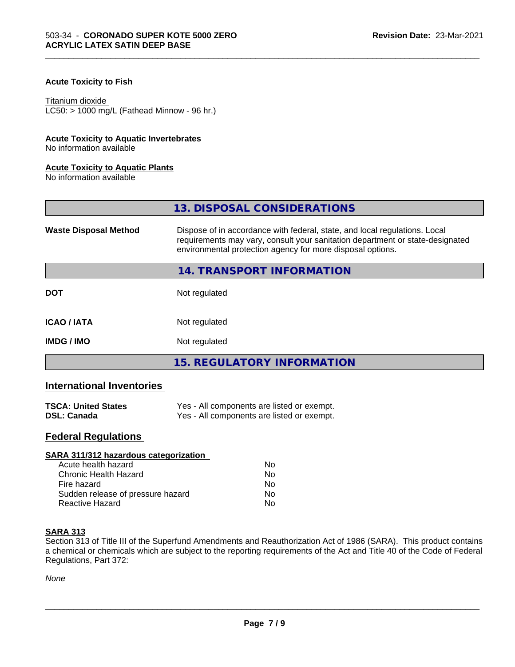### **Acute Toxicity to Fish**

#### Titanium dioxide

 $LC50:$  > 1000 mg/L (Fathead Minnow - 96 hr.)

#### **Acute Toxicity to Aquatic Invertebrates**

No information available

#### **Acute Toxicity to Aquatic Plants**

No information available

|                              | 13. DISPOSAL CONSIDERATIONS                                                                                                                                                                                               |  |
|------------------------------|---------------------------------------------------------------------------------------------------------------------------------------------------------------------------------------------------------------------------|--|
| <b>Waste Disposal Method</b> | Dispose of in accordance with federal, state, and local regulations. Local<br>requirements may vary, consult your sanitation department or state-designated<br>environmental protection agency for more disposal options. |  |
|                              | 14. TRANSPORT INFORMATION                                                                                                                                                                                                 |  |
| <b>DOT</b>                   | Not regulated                                                                                                                                                                                                             |  |
| <b>ICAO/IATA</b>             | Not regulated                                                                                                                                                                                                             |  |
| <b>IMDG / IMO</b>            | Not regulated                                                                                                                                                                                                             |  |
|                              | <b>15. REGULATORY INFORMATION</b>                                                                                                                                                                                         |  |

\_\_\_\_\_\_\_\_\_\_\_\_\_\_\_\_\_\_\_\_\_\_\_\_\_\_\_\_\_\_\_\_\_\_\_\_\_\_\_\_\_\_\_\_\_\_\_\_\_\_\_\_\_\_\_\_\_\_\_\_\_\_\_\_\_\_\_\_\_\_\_\_\_\_\_\_\_\_\_\_\_\_\_\_\_\_\_\_\_\_\_\_\_

# **International Inventories**

| <b>TSCA: United States</b> | Yes - All components are listed or exempt. |
|----------------------------|--------------------------------------------|
| <b>DSL: Canada</b>         | Yes - All components are listed or exempt. |

# **Federal Regulations**

| SARA 311/312 hazardous categorization |    |  |
|---------------------------------------|----|--|
| Acute health hazard                   | Nο |  |
| Chronic Health Hazard                 | No |  |
| Fire hazard                           | Nο |  |
| Sudden release of pressure hazard     | No |  |
| Reactive Hazard                       | No |  |

#### **SARA 313**

Section 313 of Title III of the Superfund Amendments and Reauthorization Act of 1986 (SARA). This product contains a chemical or chemicals which are subject to the reporting requirements of the Act and Title 40 of the Code of Federal Regulations, Part 372:

*None*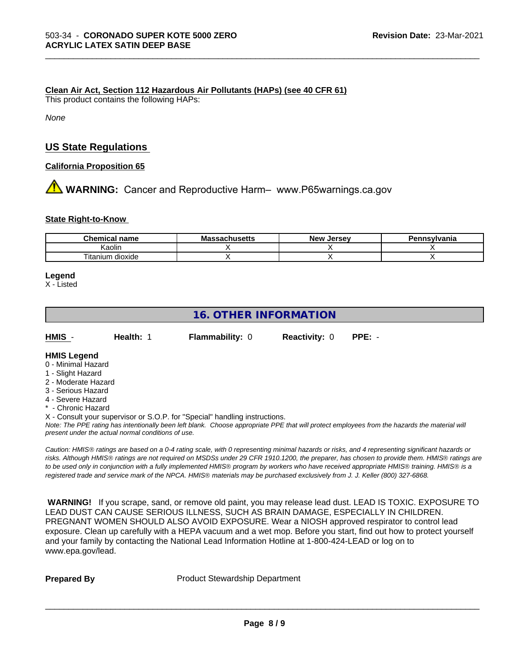#### **Clean Air Act,Section 112 Hazardous Air Pollutants (HAPs) (see 40 CFR 61)**

This product contains the following HAPs:

*None*

## **US State Regulations**

**California Proposition 65**

**A** WARNING: Cancer and Reproductive Harm– www.P65warnings.ca.gov

#### **State Right-to-Know**

| Chemical<br>name     | . .<br>Mas<br>.eh…eatt<br>⊶aChus∈us | Jersev<br>Nev <sup>.</sup> | Pennsvlvania |
|----------------------|-------------------------------------|----------------------------|--------------|
| Kaolır               |                                     |                            |              |
| dioxide<br>l itanium |                                     |                            |              |

\_\_\_\_\_\_\_\_\_\_\_\_\_\_\_\_\_\_\_\_\_\_\_\_\_\_\_\_\_\_\_\_\_\_\_\_\_\_\_\_\_\_\_\_\_\_\_\_\_\_\_\_\_\_\_\_\_\_\_\_\_\_\_\_\_\_\_\_\_\_\_\_\_\_\_\_\_\_\_\_\_\_\_\_\_\_\_\_\_\_\_\_\_

#### **Legend**

X - Listed

# **16. OTHER INFORMATION**

| HMIS<br><b>Flammability: 0</b><br>Health: 1<br><b>Reactivity: 0 PPE: -</b> |  |  |
|----------------------------------------------------------------------------|--|--|
|----------------------------------------------------------------------------|--|--|

### **HMIS Legend**

- 0 Minimal Hazard
- 1 Slight Hazard
- 2 Moderate Hazard
- 3 Serious Hazard
- 4 Severe Hazard - Chronic Hazard

X - Consult your supervisor or S.O.P. for "Special" handling instructions.

*Note: The PPE rating has intentionally been left blank. Choose appropriate PPE that will protect employees from the hazards the material will present under the actual normal conditions of use.*

*Caution: HMISÒ ratings are based on a 0-4 rating scale, with 0 representing minimal hazards or risks, and 4 representing significant hazards or risks. Although HMISÒ ratings are not required on MSDSs under 29 CFR 1910.1200, the preparer, has chosen to provide them. HMISÒ ratings are to be used only in conjunction with a fully implemented HMISÒ program by workers who have received appropriate HMISÒ training. HMISÒ is a registered trade and service mark of the NPCA. HMISÒ materials may be purchased exclusively from J. J. Keller (800) 327-6868.*

 **WARNING!** If you scrape, sand, or remove old paint, you may release lead dust. LEAD IS TOXIC. EXPOSURE TO LEAD DUST CAN CAUSE SERIOUS ILLNESS, SUCH AS BRAIN DAMAGE, ESPECIALLY IN CHILDREN. PREGNANT WOMEN SHOULD ALSO AVOID EXPOSURE.Wear a NIOSH approved respirator to control lead exposure. Clean up carefully with a HEPA vacuum and a wet mop. Before you start, find out how to protect yourself and your family by contacting the National Lead Information Hotline at 1-800-424-LEAD or log on to www.epa.gov/lead.

**Prepared By** Product Stewardship Department